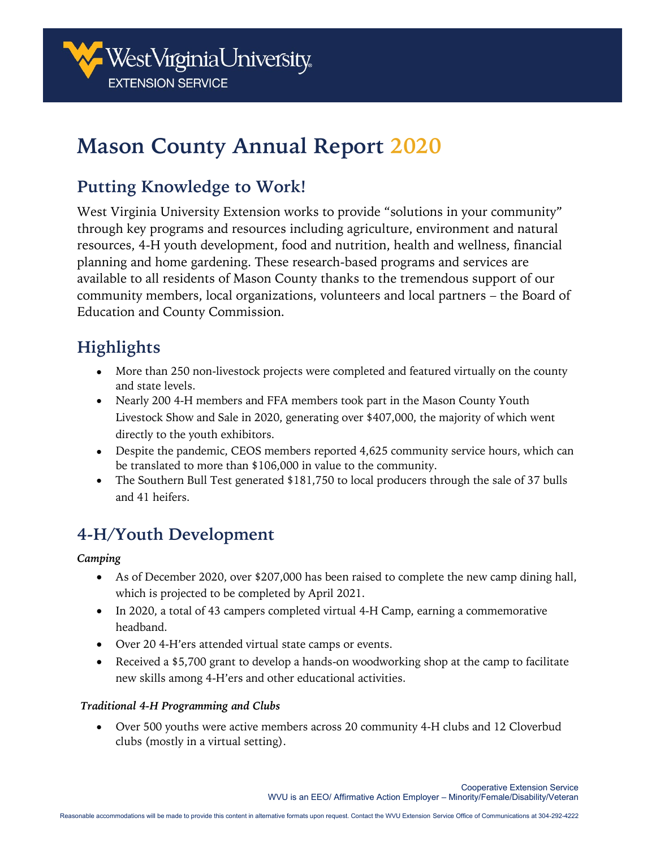

# **Mason County Annual Report 2020**

## **Putting Knowledge to Work!**

West Virginia University Extension works to provide "solutions in your community" through key programs and resources including agriculture, environment and natural resources, 4-H youth development, food and nutrition, health and wellness, financial planning and home gardening. These research-based programs and services are available to all residents of Mason County thanks to the tremendous support of our community members, local organizations, volunteers and local partners – the Board of Education and County Commission.

# **Highlights**

- More than 250 non-livestock projects were completed and featured virtually on the county and state levels.
- Nearly 200 4-H members and FFA members took part in the Mason County Youth Livestock Show and Sale in 2020, generating over \$407,000, the majority of which went directly to the youth exhibitors.
- Despite the pandemic, CEOS members reported 4,625 community service hours, which can be translated to more than \$106,000 in value to the community.
- The Southern Bull Test generated \$181,750 to local producers through the sale of 37 bulls and 41 heifers.

# **4-H/Youth Development**

#### *Camping*

- As of December 2020, over \$207,000 has been raised to complete the new camp dining hall, which is projected to be completed by April 2021.
- In 2020, a total of 43 campers completed virtual 4-H Camp, earning a commemorative headband.
- Over 20 4-H'ers attended virtual state camps or events.
- Received a \$5,700 grant to develop a hands-on woodworking shop at the camp to facilitate new skills among 4-H'ers and other educational activities.

#### *Traditional 4-H Programming and Clubs*

• Over 500 youths were active members across 20 community 4-H clubs and 12 Cloverbud clubs (mostly in a virtual setting).